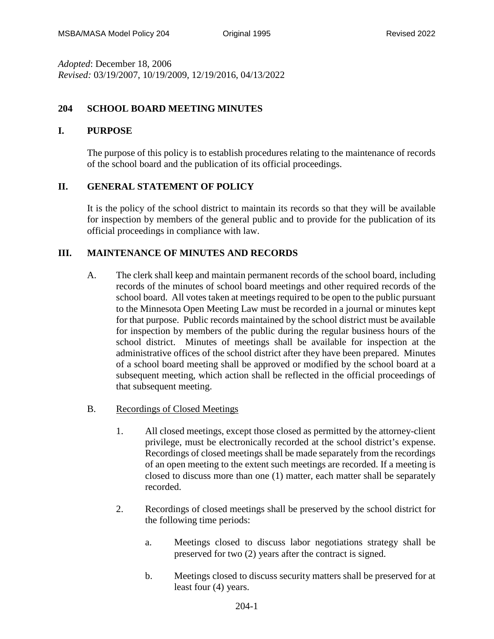*Adopted*: December 18, 2006 *Revised:* 03/19/2007, 10/19/2009, 12/19/2016, 04/13/2022

# **204 SCHOOL BOARD MEETING MINUTES**

#### **I. PURPOSE**

The purpose of this policy is to establish procedures relating to the maintenance of records of the school board and the publication of its official proceedings.

### **II. GENERAL STATEMENT OF POLICY**

It is the policy of the school district to maintain its records so that they will be available for inspection by members of the general public and to provide for the publication of its official proceedings in compliance with law.

## **III. MAINTENANCE OF MINUTES AND RECORDS**

- A. The clerk shall keep and maintain permanent records of the school board, including records of the minutes of school board meetings and other required records of the school board. All votes taken at meetings required to be open to the public pursuant to the Minnesota Open Meeting Law must be recorded in a journal or minutes kept for that purpose. Public records maintained by the school district must be available for inspection by members of the public during the regular business hours of the school district. Minutes of meetings shall be available for inspection at the administrative offices of the school district after they have been prepared. Minutes of a school board meeting shall be approved or modified by the school board at a subsequent meeting, which action shall be reflected in the official proceedings of that subsequent meeting.
- B. Recordings of Closed Meetings
	- 1. All closed meetings, except those closed as permitted by the attorney-client privilege, must be electronically recorded at the school district's expense. Recordings of closed meetings shall be made separately from the recordings of an open meeting to the extent such meetings are recorded. If a meeting is closed to discuss more than one (1) matter, each matter shall be separately recorded.
	- 2. Recordings of closed meetings shall be preserved by the school district for the following time periods:
		- a. Meetings closed to discuss labor negotiations strategy shall be preserved for two (2) years after the contract is signed.
		- b. Meetings closed to discuss security matters shall be preserved for at least four (4) years.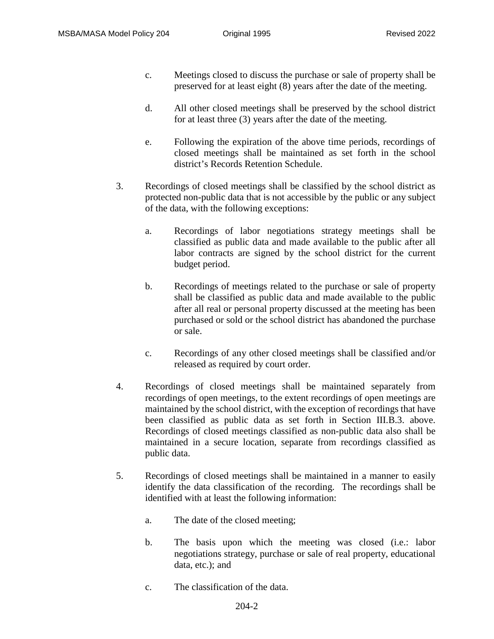- c. Meetings closed to discuss the purchase or sale of property shall be preserved for at least eight (8) years after the date of the meeting.
- d. All other closed meetings shall be preserved by the school district for at least three (3) years after the date of the meeting.
- e. Following the expiration of the above time periods, recordings of closed meetings shall be maintained as set forth in the school district's Records Retention Schedule.
- 3. Recordings of closed meetings shall be classified by the school district as protected non-public data that is not accessible by the public or any subject of the data, with the following exceptions:
	- a. Recordings of labor negotiations strategy meetings shall be classified as public data and made available to the public after all labor contracts are signed by the school district for the current budget period.
	- b. Recordings of meetings related to the purchase or sale of property shall be classified as public data and made available to the public after all real or personal property discussed at the meeting has been purchased or sold or the school district has abandoned the purchase or sale.
	- c. Recordings of any other closed meetings shall be classified and/or released as required by court order.
- 4. Recordings of closed meetings shall be maintained separately from recordings of open meetings, to the extent recordings of open meetings are maintained by the school district, with the exception of recordings that have been classified as public data as set forth in Section III.B.3. above. Recordings of closed meetings classified as non-public data also shall be maintained in a secure location, separate from recordings classified as public data.
- 5. Recordings of closed meetings shall be maintained in a manner to easily identify the data classification of the recording. The recordings shall be identified with at least the following information:
	- a. The date of the closed meeting;
	- b. The basis upon which the meeting was closed (i.e.: labor negotiations strategy, purchase or sale of real property, educational data, etc.); and
	- c. The classification of the data.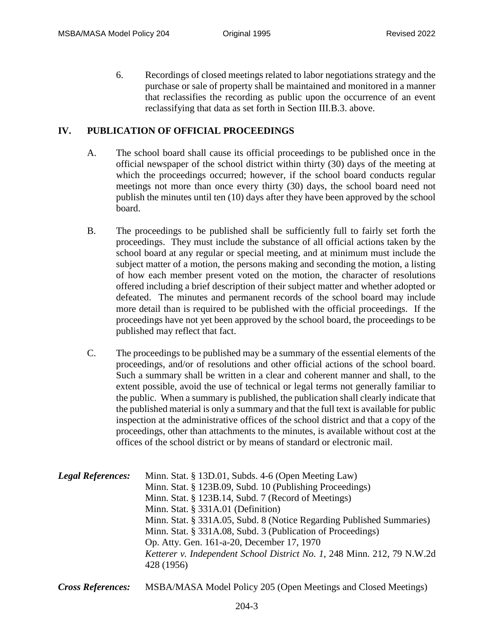6. Recordings of closed meetings related to labor negotiations strategy and the purchase or sale of property shall be maintained and monitored in a manner that reclassifies the recording as public upon the occurrence of an event reclassifying that data as set forth in Section III.B.3. above.

## **IV. PUBLICATION OF OFFICIAL PROCEEDINGS**

- A. The school board shall cause its official proceedings to be published once in the official newspaper of the school district within thirty (30) days of the meeting at which the proceedings occurred; however, if the school board conducts regular meetings not more than once every thirty (30) days, the school board need not publish the minutes until ten (10) days after they have been approved by the school board.
- B. The proceedings to be published shall be sufficiently full to fairly set forth the proceedings. They must include the substance of all official actions taken by the school board at any regular or special meeting, and at minimum must include the subject matter of a motion, the persons making and seconding the motion, a listing of how each member present voted on the motion, the character of resolutions offered including a brief description of their subject matter and whether adopted or defeated. The minutes and permanent records of the school board may include more detail than is required to be published with the official proceedings. If the proceedings have not yet been approved by the school board, the proceedings to be published may reflect that fact.
- C. The proceedings to be published may be a summary of the essential elements of the proceedings, and/or of resolutions and other official actions of the school board. Such a summary shall be written in a clear and coherent manner and shall, to the extent possible, avoid the use of technical or legal terms not generally familiar to the public. When a summary is published, the publication shall clearly indicate that the published material is only a summary and that the full text is available for public inspection at the administrative offices of the school district and that a copy of the proceedings, other than attachments to the minutes, is available without cost at the offices of the school district or by means of standard or electronic mail.

| <b>Legal References:</b> | Minn. Stat. § 13D.01, Subds. 4-6 (Open Meeting Law)                     |
|--------------------------|-------------------------------------------------------------------------|
|                          | Minn. Stat. § 123B.09, Subd. 10 (Publishing Proceedings)                |
|                          | Minn. Stat. § 123B.14, Subd. 7 (Record of Meetings)                     |
|                          | Minn. Stat. § 331A.01 (Definition)                                      |
|                          | Minn. Stat. § 331A.05, Subd. 8 (Notice Regarding Published Summaries)   |
|                          | Minn. Stat. § 331A.08, Subd. 3 (Publication of Proceedings)             |
|                          | Op. Atty. Gen. 161-a-20, December 17, 1970                              |
|                          | Ketterer v. Independent School District No. 1, 248 Minn. 212, 79 N.W.2d |
|                          | 428 (1956)                                                              |
|                          |                                                                         |

*Cross References:* MSBA/MASA Model Policy 205 (Open Meetings and Closed Meetings)